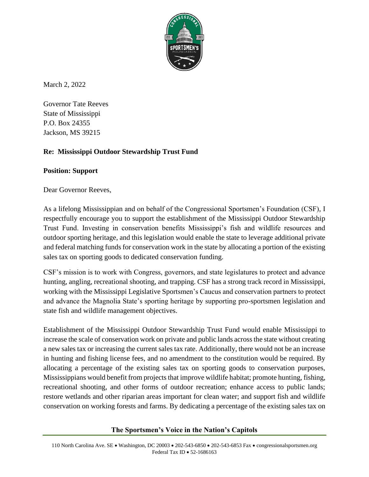

March 2, 2022

Governor Tate Reeves State of Mississippi P.O. Box 24355 Jackson, MS 39215

## **Re: Mississippi Outdoor Stewardship Trust Fund**

## **Position: Support**

Dear Governor Reeves,

As a lifelong Mississippian and on behalf of the Congressional Sportsmen's Foundation (CSF), I respectfully encourage you to support the establishment of the Mississippi Outdoor Stewardship Trust Fund. Investing in conservation benefits Mississippi's fish and wildlife resources and outdoor sporting heritage, and this legislation would enable the state to leverage additional private and federal matching funds for conservation work in the state by allocating a portion of the existing sales tax on sporting goods to dedicated conservation funding.

CSF's mission is to work with Congress, governors, and state legislatures to protect and advance hunting, angling, recreational shooting, and trapping. CSF has a strong track record in Mississippi, working with the Mississippi Legislative Sportsmen's Caucus and conservation partners to protect and advance the Magnolia State's sporting heritage by supporting pro-sportsmen legislation and state fish and wildlife management objectives.

Establishment of the Mississippi Outdoor Stewardship Trust Fund would enable Mississippi to increase the scale of conservation work on private and public lands across the state without creating a new sales tax or increasing the current sales tax rate. Additionally, there would not be an increase in hunting and fishing license fees, and no amendment to the constitution would be required. By allocating a percentage of the existing sales tax on sporting goods to conservation purposes, Mississippians would benefit from projects that improve wildlife habitat; promote hunting, fishing, recreational shooting, and other forms of outdoor recreation; enhance access to public lands; restore wetlands and other riparian areas important for clean water; and support fish and wildlife conservation on working forests and farms. By dedicating a percentage of the existing sales tax on

## **The Sportsmen's Voice in the Nation's Capitols**